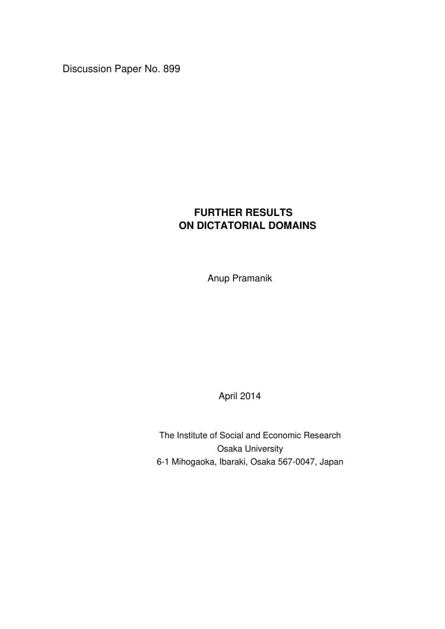Discussion Paper No. 899

# **FURTHER RESULTS ON DICTATORIAL DOMAINS**

Anup Pramanik

April 2014

The Institute of Social and Economic Research Osaka University 6-1 Mihogaoka, Ibaraki, Osaka 567-0047, Japan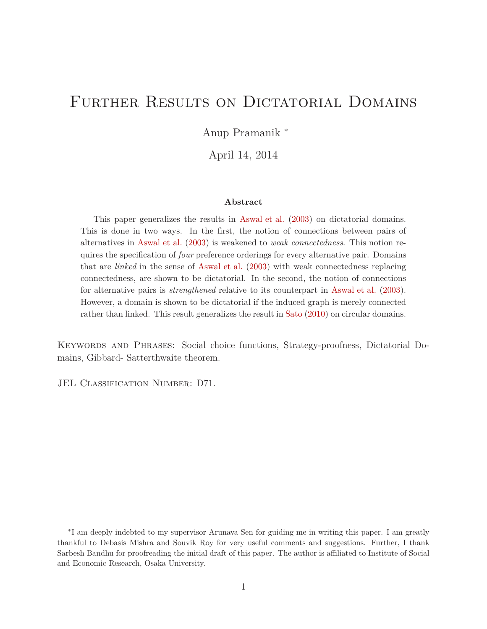# FURTHER RESULTS ON DICTATORIAL DOMAINS

Anup Pramanik <sup>∗</sup>

April 14, 2014

#### **Abstract**

This paper generalizes the results in Aswal et al. (2003) on dictatorial domains. This is done in two ways. In the first, the notion of connections between pairs of alternatives in Aswal et al. (2003) is weakened to *weak connectedness*. This notion requires the specification of *four* preference orderings for every alternative pair. Domains that are *linked* in the sense of Aswal et al. (2003) with weak connectedness replacing connectedness, are shown to be dictatorial. In the second, the notion of connections for alternative pairs is *strengthened* relative to its counterpart in Aswal et al. (2003). However, a domain is shown to be dictatorial if the induced graph is merely connected rather than linked. This result generalizes the result in Sato (2010) on circular domains.

Keywords and Phrases: Social choice functions, Strategy-proofness, Dictatorial Domains, Gibbard- Satterthwaite theorem.

JEL CLASSIFICATION NUMBER: D71.

<sup>∗</sup> I am deeply indebted to my supervisor Arunava Sen for guiding me in writing this paper. I am greatly thankful to Debasis Mishra and Souvik Roy for very useful comments and suggestions. Further, I thank Sarbesh Bandhu for proofreading the initial draft of this paper. The author is affiliated to Institute of Social and Economic Research, Osaka University.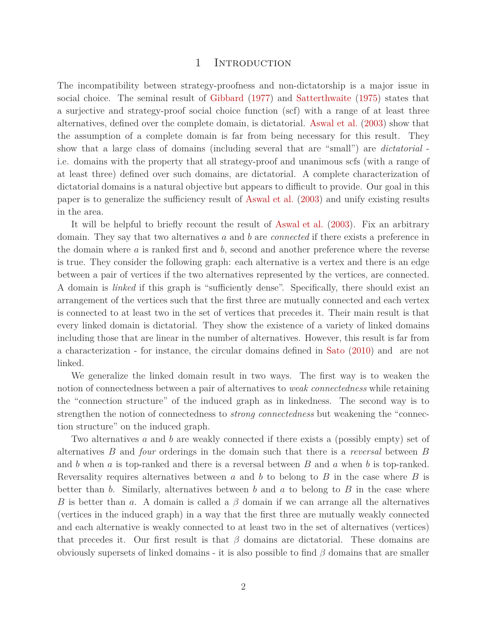#### 1 INTRODUCTION

The incompatibility between strategy-proofness and non-dictatorship is a major issue in social choice. The seminal result of Gibbard (1977) and Satterthwaite (1975) states that a surjective and strategy-proof social choice function (scf) with a range of at least three alternatives, defined over the complete domain, is dictatorial. Aswal et al. (2003) show that the assumption of a complete domain is far from being necessary for this result. They show that a large class of domains (including several that are "small") are *dictatorial* i.e. domains with the property that all strategy-proof and unanimous scfs (with a range of at least three) defined over such domains, are dictatorial. A complete characterization of dictatorial domains is a natural objective but appears to difficult to provide. Our goal in this paper is to generalize the sufficiency result of Aswal et al. (2003) and unify existing results in the area.

It will be helpful to briefly recount the result of Aswal et al. (2003). Fix an arbitrary domain. They say that two alternatives *a* and *b* are *connected* if there exists a preference in the domain where *a* is ranked first and *b*, second and another preference where the reverse is true. They consider the following graph: each alternative is a vertex and there is an edge between a pair of vertices if the two alternatives represented by the vertices, are connected. A domain is *linked* if this graph is "sufficiently dense". Specifically, there should exist an arrangement of the vertices such that the first three are mutually connected and each vertex is connected to at least two in the set of vertices that precedes it. Their main result is that every linked domain is dictatorial. They show the existence of a variety of linked domains including those that are linear in the number of alternatives. However, this result is far from a characterization - for instance, the circular domains defined in Sato (2010) and are not linked.

We generalize the linked domain result in two ways. The first way is to weaken the notion of connectedness between a pair of alternatives to *weak connectedness* while retaining the "connection structure" of the induced graph as in linkedness. The second way is to strengthen the notion of connectedness to *strong connectedness* but weakening the "connection structure" on the induced graph.

Two alternatives *a* and *b* are weakly connected if there exists a (possibly empty) set of alternatives *B* and *four* orderings in the domain such that there is a *reversal* between *B* and *b* when *a* is top-ranked and there is a reversal between *B* and *a* when *b* is top-ranked. Reversality requires alternatives between *a* and *b* to belong to *B* in the case where *B* is better than *b*. Similarly, alternatives between *b* and *a* to belong to *B* in the case where *B* is better than *a*. A domain is called a *β* domain if we can arrange all the alternatives (vertices in the induced graph) in a way that the first three are mutually weakly connected and each alternative is weakly connected to at least two in the set of alternatives (vertices) that precedes it. Our first result is that  $\beta$  domains are dictatorial. These domains are obviously supersets of linked domains - it is also possible to find *β* domains that are smaller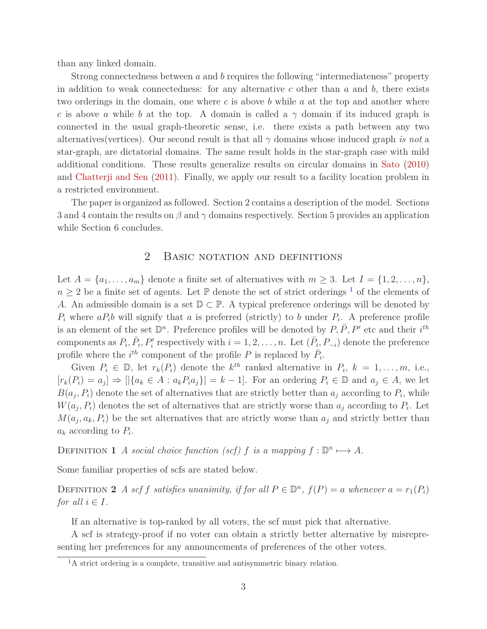than any linked domain.

Strong connectedness between *a* and *b* requires the following "intermediateness" property in addition to weak connectedness: for any alternative  $c$  other than  $a$  and  $b$ , there exists two orderings in the domain, one where *c* is above *b* while *a* at the top and another where *c* is above *a* while *b* at the top. A domain is called a  $\gamma$  domain if its induced graph is connected in the usual graph-theoretic sense, i.e. there exists a path between any two alternatives(vertices). Our second result is that all *γ* domains whose induced graph *is not* a star-graph, are dictatorial domains. The same result holds in the star-graph case with mild additional conditions. These results generalize results on circular domains in Sato (2010) and Chatterji and Sen (2011). Finally, we apply our result to a facility location problem in a restricted environment.

The paper is organized as followed. Section 2 contains a description of the model. Sections 3 and 4 contain the results on *β* and *γ* domains respectively. Section 5 provides an application while Section 6 concludes.

## 2 BASIC NOTATION AND DEFINITIONS

Let  $A = \{a_1, \ldots, a_m\}$  denote a finite set of alternatives with  $m \geq 3$ . Let  $I = \{1, 2, \ldots, n\}$ ,  $n \geq 2$  be a finite set of agents. Let  $\mathbb P$  denote the set of strict orderings <sup>1</sup> of the elements of *A*. An admissible domain is a set  $\mathbb{D} \subset \mathbb{P}$ . A typical preference orderings will be denoted by  $P_i$  where  $aP_i$ *b* will signify that *a* is preferred (strictly) to *b* under  $P_i$ . A preference profile is an element of the set  $\mathbb{D}^n$ . Preference profiles will be denoted by  $P, \overline{P}, P'$  etc and their  $i^{th}$ components as  $P_i$ ,  $\bar{P}_i$ ,  $P'_i$  respectively with  $i = 1, 2, ..., n$ . Let  $(\bar{P}_i, P_{-i})$  denote the preference profile where the  $i^{th}$  component of the profile *P* is replaced by  $\overline{P}_i$ .

Given  $P_i \in \mathbb{D}$ , let  $r_k(P_i)$  denote the  $k^{th}$  ranked alternative in  $P_i$ ,  $k = 1, \ldots, m$ , i.e.,  $[r_k(P_i) = a_j] \Rightarrow [[\{a_k \in A : a_k P_i a_j\}] = k - 1]$ . For an ordering  $P_i \in \mathbb{D}$  and  $a_j \in A$ , we let  $B(a_j, P_i)$  denote the set of alternatives that are strictly better than  $a_j$  according to  $P_i$ , while  $W(a_j, P_i)$  denotes the set of alternatives that are strictly worse than  $a_j$  according to  $P_i$ . Let  $M(a_j, a_k, P_i)$  be the set alternatives that are strictly worse than  $a_j$  and strictly better than *a<sup>k</sup>* according to *P<sup>i</sup>* .

DEFINITION **1** *A* social choice function (scf) *f* is a mapping  $f : \mathbb{D}^n \longmapsto A$ .

Some familiar properties of scfs are stated below.

DEFINITION 2 *A scf f satisfies unanimity, if for all*  $P \in \mathbb{D}^n$ ,  $f(P) = a$  *whenever*  $a = r_1(P_i)$ *for all*  $i \in I$ *.* 

If an alternative is top-ranked by all voters, the scf must pick that alternative.

A scf is strategy-proof if no voter can obtain a strictly better alternative by misrepresenting her preferences for any announcements of preferences of the other voters.

<sup>&</sup>lt;sup>1</sup>A strict ordering is a complete, transitive and antisymmetric binary relation.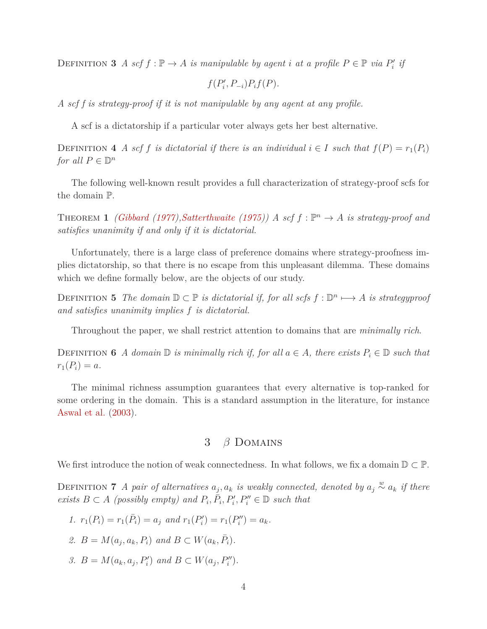DEFINITION **3** *A scf*  $f : \mathbb{P} \to A$  *is manipulable by agent i at a profile*  $P \in \mathbb{P}$  *via*  $P'_i$  *if* 

$$
f(P'_i, P_{-i})P_i f(P).
$$

*A scf f is strategy-proof if it is not manipulable by any agent at any profile.*

A scf is a dictatorship if a particular voter always gets her best alternative.

DEFINITION **4** *A scf f is dictatorial if there is an individual*  $i \in I$  *such that*  $f(P) = r_1(P_i)$ *for all*  $P \in \mathbb{D}^n$ 

The following well-known result provides a full characterization of strategy-proof scfs for the domain P.

**THEOREM 1** *(Gibbard (1977),Satterthwaite (1975))* A scf  $f : \mathbb{P}^n \to A$  is strategy-proof and *satisfies unanimity if and only if it is dictatorial.*

Unfortunately, there is a large class of preference domains where strategy-proofness implies dictatorship, so that there is no escape from this unpleasant dilemma. These domains which we define formally below, are the objects of our study.

DEFINITION 5 *The domain*  $D \subset P$  *is dictatorial if, for all scfs*  $f : D^n \longrightarrow A$  *is strategyproof and satisfies unanimity implies f is dictatorial.*

Throughout the paper, we shall restrict attention to domains that are *minimally rich*.

DEFINITION **6** *A* domain  $\mathbb{D}$  is minimally rich if, for all  $a \in A$ , there exists  $P_i \in \mathbb{D}$  such that  $r_1(P_i) = a$ .

The minimal richness assumption guarantees that every alternative is top-ranked for some ordering in the domain. This is a standard assumption in the literature, for instance Aswal et al. (2003).

# 3 *β* Domains

We first introduce the notion of weak connectedness. In what follows, we fix a domain  $\mathbb{D} \subset \mathbb{P}$ .

DEFINITION **7** *A pair of alternatives*  $a_j$ ,  $a_k$  *is weakly connected, denoted by*  $a_j \stackrel{w}{\sim} a_k$  *if there exists*  $B \subset A$  *(possibly empty)* and  $P_i$ ,  $\overline{P_i}$ ,  $P'_i$ ,  $P''_i \in \mathbb{D}$  *such that* 

- *1.*  $r_1(P_i) = r_1(\bar{P}_i) = a_j$  and  $r_1(P'_i) = r_1(P''_i) = a_k$ .
- *2.*  $B = M(a_j, a_k, P_i)$  and  $B \subset W(a_k, \bar{P}_i)$ .
- *3.*  $B = M(a_k, a_j, P'_i)$  and  $B \subset W(a_j, P''_i)$ .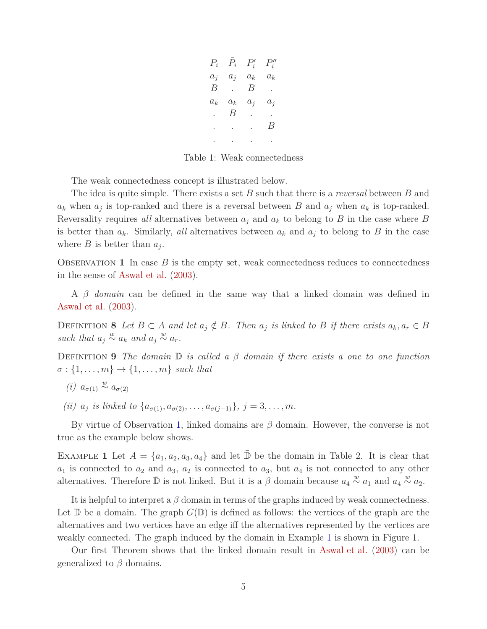$P_i$   $\bar{P}_i$   $P'_i$  *P* ′′ *i*  $a_j$   $a_j$   $a_k$   $a_k$ *B* . *B* .  $a_k$   $a_k$   $a_j$   $a_j$ *. B* . . . . . *B* . . . .

Table 1: Weak connectedness

The weak connectedness concept is illustrated below.

The idea is quite simple. There exists a set *B* such that there is a *reversal* between *B* and  $a_k$  when  $a_j$  is top-ranked and there is a reversal between *B* and  $a_j$  when  $a_k$  is top-ranked. Reversality requires *all* alternatives between  $a_j$  and  $a_k$  to belong to *B* in the case where *B* is better than  $a_k$ . Similarly, *all* alternatives between  $a_k$  and  $a_j$  to belong to *B* in the case where *B* is better than  $a_j$ .

OBSERVATION 1 In case  $B$  is the empty set, weak connectedness reduces to connectedness in the sense of Aswal et al. (2003).

A *β domain* can be defined in the same way that a linked domain was defined in Aswal et al. (2003).

DEFINITION 8 Let  $B \subset A$  and let  $a_j \notin B$ . Then  $a_j$  is linked to B if there exists  $a_k, a_r \in B$ *such that*  $a_j \stackrel{w}{\sim} a_k$  *and*  $a_j \stackrel{w}{\sim} a_r$ .

Definition **9** *The domain* D *is called a β domain if there exists a one to one function*  $\sigma : \{1, \ldots, m\} \rightarrow \{1, \ldots, m\}$  *such that* 

- *(i)*  $a_{\sigma(1)} \stackrel{w}{\sim} a_{\sigma(2)}$
- *(ii)*  $a_j$  *is linked to*  $\{a_{\sigma(1)}, a_{\sigma(2)}, \ldots, a_{\sigma(j-1)}\}, j = 3, \ldots, m$ *.*

By virtue of Observation 1, linked domains are *β* domain. However, the converse is not true as the example below shows.

EXAMPLE 1 Let  $A = \{a_1, a_2, a_3, a_4\}$  and let  $\mathbb{D}$  be the domain in Table 2. It is clear that  $a_1$  is connected to  $a_2$  and  $a_3$ ,  $a_2$  is connected to  $a_3$ , but  $a_4$  is not connected to any other alternatives. Therefore  $\bar{\mathbb{D}}$  is not linked. But it is a  $\beta$  domain because  $a_4 \stackrel{w}{\sim} a_1$  and  $a_4 \stackrel{w}{\sim} a_2$ .

It is helpful to interpret a *β* domain in terms of the graphs induced by weak connectedness. Let  $\mathbb D$  be a domain. The graph  $G(\mathbb D)$  is defined as follows: the vertices of the graph are the alternatives and two vertices have an edge iff the alternatives represented by the vertices are weakly connected. The graph induced by the domain in Example 1 is shown in Figure 1.

Our first Theorem shows that the linked domain result in Aswal et al. (2003) can be generalized to *β* domains.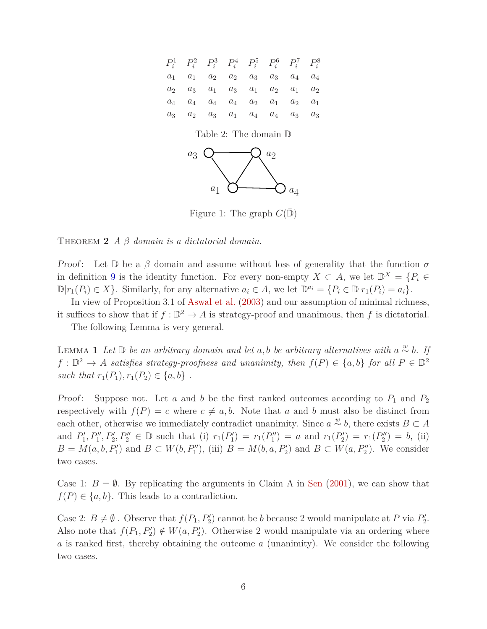

Figure 1: The graph  $G(\mathbb{D})$ 

THEOREM 2  $\hat{A}$   $\hat{\beta}$  *domain is a dictatorial domain.* 

Proof: Let  $\mathbb D$  be a  $\beta$  domain and assume without loss of generality that the function  $\sigma$ in definition 9 is the identity function. For every non-empty  $X \subset A$ , we let  $\mathbb{D}^X = \{P_i \in$  $\mathbb{D}[r_1(P_i) \in X]$ . Similarly, for any alternative  $a_i \in A$ , we let  $\mathbb{D}^{a_i} = \{P_i \in \mathbb{D}|r_1(P_i) = a_i\}$ .

In view of Proposition 3*.*1 of Aswal et al. (2003) and our assumption of minimal richness, it suffices to show that if  $f : \mathbb{D}^2 \to A$  is strategy-proof and unanimous, then f is dictatorial.

The following Lemma is very general.

**LEMMA 1** *Let* **D** *be an arbitrary domain and let a, b be arbitrary alternatives with a*  $\stackrel{w}{\sim}$  *b. If*  $f: \mathbb{D}^2 \to A$  *satisfies strategy-proofness and unanimity, then*  $f(P) \in \{a, b\}$  *for all*  $P \in \mathbb{D}^2$ *such that*  $r_1(P_1), r_1(P_2) \in \{a, b\}$ .

*Proof:* Suppose not. Let  $a$  and  $b$  be the first ranked outcomes according to  $P_1$  and  $P_2$ respectively with  $f(P) = c$  where  $c \neq a, b$ . Note that a and b must also be distinct from each other, otherwise we immediately contradict unanimity. Since  $a \stackrel{w}{\sim} b$ , there exists  $B \subset A$ and  $P'_1, P''_1, P'_2, P''_2 \in \mathbb{D}$  such that (i)  $r_1(P'_1) = r_1(P''_1) = a$  and  $r_1(P'_2) = r_1(P''_2) = b$ , (ii)  $B = M(a, b, P'_1)$  and  $B \subset W(b, P''_1)$ , (iii)  $B = M(b, a, P'_2)$  and  $B \subset W(a, P''_2)$ . We consider two cases.

Case 1:  $B = \emptyset$ . By replicating the arguments in Claim A in Sen (2001), we can show that  $f(P) \in \{a, b\}$ . This leads to a contradiction.

Case 2:  $B \neq \emptyset$ . Observe that  $f(P_1, P'_2)$  cannot be *b* because 2 would manipulate at *P* via  $P'_2$ . Also note that  $f(P_1, P'_2) \notin W(a, P'_2)$ . Otherwise 2 would manipulate via an ordering where *a* is ranked first, thereby obtaining the outcome *a* (unanimity). We consider the following two cases.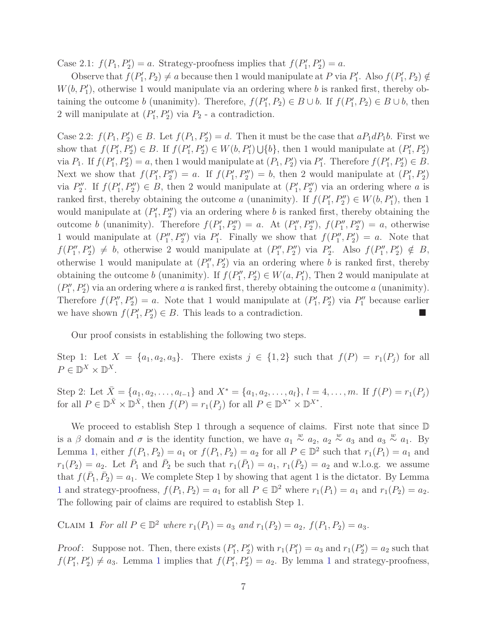Case 2.1:  $f(P_1, P'_2) = a$ . Strategy-proofness implies that  $f(P'_1, P'_2) = a$ .

Observe that  $f(P'_1, P_2) \neq a$  because then 1 would manipulate at *P* via  $P'_1$ . Also  $f(P'_1, P_2) \notin$  $W(b, P'_1)$ , otherwise 1 would manipulate via an ordering where *b* is ranked first, thereby obtaining the outcome *b* (unanimity). Therefore,  $f(P'_1, P_2) \in B \cup b$ . If  $f(P'_1, P_2) \in B \cup b$ , then 2 will manipulate at  $(P_1', P_2')$  via  $P_2$  - a contradiction.

Case 2.2:  $f(P_1, P'_2) \in B$ . Let  $f(P_1, P'_2) = d$ . Then it must be the case that  $aP_1dP_1b$ . First we show that  $f(P'_1, P'_2) \in B$ . If  $f(P'_1, P'_2) \in W(b, P'_1) \cup \{b\}$ , then 1 would manipulate at  $(P'_1, P'_2)$ via  $P_1$ . If  $f(P'_1, P'_2) = a$ , then 1 would manipulate at  $(P_1, P'_2)$  via  $P'_1$ . Therefore  $f(P'_1, P'_2) \in B$ . Next we show that  $f(P'_1, P''_2) = a$ . If  $f(P'_1, P''_2) = b$ , then 2 would manipulate at  $(P'_1, P'_2)$ via  $P''_2$ . If  $f(P'_1, P''_2) \in B$ , then 2 would manipulate at  $(P'_1, P''_2)$  via an ordering where *a* is ranked first, thereby obtaining the outcome *a* (unanimity). If  $f(P'_1, P''_2) \in W(b, P'_1)$ , then 1 would manipulate at  $(P'_1, P''_2)$  via an ordering where *b* is ranked first, thereby obtaining the outcome *b* (unanimity). Therefore  $f(P'_1, P''_2) = a$ . At  $(P''_1, P''_2)$ ,  $f(P''_1, P''_2) = a$ , otherwise 1 would manipulate at  $(P''_1, P''_2)$  via  $P'_1$ . Finally we show that  $f(P''_1, P'_2) = a$ . Note that  $f(P''_1, P'_2) \neq b$ , otherwise 2 would manipulate at  $(P''_1, P''_2)$  via  $P'_2$ . Also  $f(P''_1, P'_2) \notin B$ , otherwise 1 would manipulate at  $(P''_1, P'_2)$  via an ordering where *b* is ranked first, thereby obtaining the outcome *b* (unanimity). If  $f(P_1'', P_2') \in W(a, P_1')$ , Then 2 would manipulate at  $(P''_1, P'_2)$  via an ordering where *a* is ranked first, thereby obtaining the outcome *a* (unanimity). Therefore  $f(P''_1, P'_2) = a$ . Note that 1 would manipulate at  $(P'_1, P'_2)$  via  $P''_1$  because earlier we have shown  $f(P'_1, P'_2) \in B$ . This leads to a contradiction.

Our proof consists in establishing the following two steps.

Step 1: Let  $X = \{a_1, a_2, a_3\}$ . There exists  $j \in \{1, 2\}$  such that  $f(P) = r_1(P_j)$  for all  $P \in \mathbb{D}^X \times \mathbb{D}^X$ .

Step 2: Let  $\bar{X} = \{a_1, a_2, \ldots, a_{l-1}\}\$  and  $X^* = \{a_1, a_2, \ldots, a_l\}, l = 4, \ldots, m$ . If  $f(P) = r_1(P_j)$ for all  $P \in \mathbb{D}^{\bar{X}} \times \mathbb{D}^{\bar{X}}$ , then  $f(P) = r_1(P_j)$  for all  $P \in \mathbb{D}^{X^*} \times \mathbb{D}^{X^*}$ .

We proceed to establish Step 1 through a sequence of claims. First note that since  $D$ is a  $\beta$  domain and  $\sigma$  is the identity function, we have  $a_1 \stackrel{w}{\sim} a_2$ ,  $a_2 \stackrel{w}{\sim} a_3$  and  $a_3 \stackrel{w}{\sim} a_1$ . By Lemma 1, either  $f(P_1, P_2) = a_1$  or  $f(P_1, P_2) = a_2$  for all  $P \in \mathbb{D}^2$  such that  $r_1(P_1) = a_1$  and  $r_1(P_2) = a_2$ . Let  $\bar{P}_1$  and  $\bar{P}_2$  be such that  $r_1(\bar{P}_1) = a_1$ ,  $r_1(\bar{P}_2) = a_2$  and w.l.o.g. we assume that  $f(\bar{P}_1, \bar{P}_2) = a_1$ . We complete Step 1 by showing that agent 1 is the dictator. By Lemma 1 and strategy-proofness,  $f(P_1, P_2) = a_1$  for all  $P \in \mathbb{D}^2$  where  $r_1(P_1) = a_1$  and  $r_1(P_2) = a_2$ . The following pair of claims are required to establish Step 1.

CLAIM **1** For all  $P \in \mathbb{D}^2$  where  $r_1(P_1) = a_3$  and  $r_1(P_2) = a_2$ ,  $f(P_1, P_2) = a_3$ .

*Proof*: Suppose not. Then, there exists  $(P'_1, P'_2)$  with  $r_1(P'_1) = a_3$  and  $r_1(P'_2) = a_2$  such that  $f(P'_1, P'_2) \neq a_3$ . Lemma 1 implies that  $f(P'_1, P'_2) = a_2$ . By lemma 1 and strategy-proofness,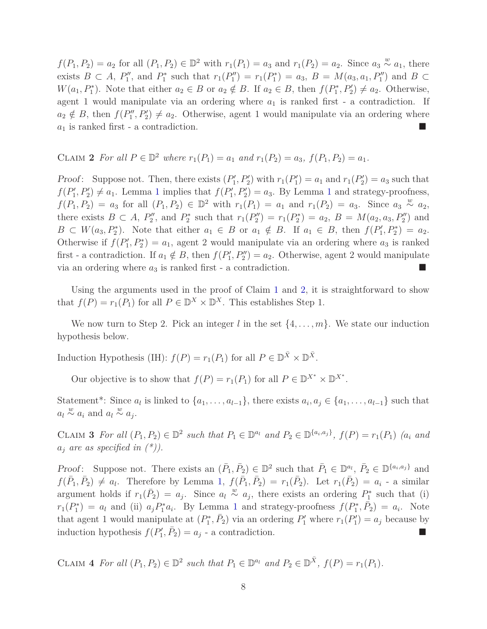*f*(*P*<sub>1</sub>*, P*<sub>2</sub>) = *a*<sub>2</sub> for all (*P*<sub>1</sub>*, P*<sub>2</sub>) ∈  $\mathbb{D}^2$  with  $r_1(P_1) = a_3$  and  $r_1(P_2) = a_2$ . Since  $a_3 \stackrel{w}{\sim} a_1$ , there exists  $B \subset A$ ,  $P''_1$ , and  $P^*_1$  such that  $r_1(P''_1) = r_1(P^*_1) = a_3$ ,  $B = M(a_3, a_1, P''_1)$  and  $B \subset A$  $W(a_1, P_1^*)$ . Note that either  $a_2 \in B$  or  $a_2 \notin B$ . If  $a_2 \in B$ , then  $f(P_1^*, P_2') \neq a_2$ . Otherwise, agent 1 would manipulate via an ordering where  $a_1$  is ranked first - a contradiction. If  $a_2 \notin B$ , then  $f(P''_1, P'_2) \neq a_2$ . Otherwise, agent 1 would manipulate via an ordering where *a*<sup>1</sup> is ranked first - a contradiction.

# CLAIM 2 For all  $P \in \mathbb{D}^2$  where  $r_1(P_1) = a_1$  and  $r_1(P_2) = a_3$ ,  $f(P_1, P_2) = a_1$ .

*Proof*: Suppose not. Then, there exists  $(P'_1, P'_2)$  with  $r_1(P'_1) = a_1$  and  $r_1(P'_2) = a_3$  such that  $f(P'_1, P'_2) \neq a_1$ . Lemma 1 implies that  $f(P'_1, P'_2) = a_3$ . By Lemma 1 and strategy-proofness,  $f(P_1, P_2) = a_3$  for all  $(P_1, P_2) \in \mathbb{D}^2$  with  $r_1(P_1) = a_1$  and  $r_1(P_2) = a_3$ . Since  $a_3 \stackrel{w}{\sim} a_2$ , there exists  $B \subset A$ ,  $P''_2$ , and  $P^*_2$  such that  $r_1(P''_2) = r_1(P^*_2) = a_2$ ,  $B = M(a_2, a_3, P''_2)$  and  $B \subset W(a_3, P_2^*)$ . Note that either  $a_1 \in B$  or  $a_1 \notin B$ . If  $a_1 \in B$ , then  $f(P_1', P_2^*) = a_2$ . Otherwise if  $f(P_1', P_2^*) = a_1$ , agent 2 would manipulate via an ordering where  $a_3$  is ranked first - a contradiction. If  $a_1 \notin B$ , then  $f(P'_1, P''_2) = a_2$ . Otherwise, agent 2 would manipulate via an ordering where  $a_3$  is ranked first - a contradiction.

Using the arguments used in the proof of Claim 1 and 2, it is straightforward to show that  $f(P) = r_1(P_1)$  for all  $P \in \mathbb{D}^X \times \mathbb{D}^X$ . This establishes Step 1.

We now turn to Step 2. Pick an integer *l* in the set {4*, . . . , m*}. We state our induction hypothesis below.

Induction Hypothesis (IH):  $f(P) = r_1(P_1)$  for all  $P \in \mathbb{D}^{\bar{X}} \times \mathbb{D}^{\bar{X}}$ .

Our objective is to show that  $f(P) = r_1(P_1)$  for all  $P \in \mathbb{D}^{X^*} \times \mathbb{D}^{X^*}$ .

Statement<sup>\*</sup>: Since  $a_l$  is linked to  $\{a_1, \ldots, a_{l-1}\}$ , there exists  $a_i, a_j \in \{a_1, \ldots, a_{l-1}\}$  such that  $a_l \stackrel{w}{\sim} a_i$  and  $a_l \stackrel{w}{\sim} a_j$ .

CLAIM 3 For all  $(P_1, P_2) \in \mathbb{D}^2$  such that  $P_1 \in \mathbb{D}^{a_l}$  and  $P_2 \in \mathbb{D}^{\{a_i, a_j\}}$ ,  $f(P) = r_1(P_1)$  (a<sub>i</sub> and  $a_j$  *are as specified in (\*)).* 

*Proof*: Suppose not. There exists an  $(\bar{P}_1, \bar{P}_2) \in \mathbb{D}^2$  such that  $\bar{P}_1 \in \mathbb{D}^{a_l}, \bar{P}_2 \in \mathbb{D}^{\{a_i, a_j\}}$  and  $f(\bar{P}_1, \bar{P}_2) \neq a_l$ . Therefore by Lemma 1,  $f(\bar{P}_1, \bar{P}_2) = r_1(\bar{P}_2)$ . Let  $r_1(\bar{P}_2) = a_i$  - a similar argument holds if  $r_1(\bar{P}_2) = a_j$ . Since  $a_l \overset{w}{\sim} a_j$ , there exists an ordering  $P_1^*$  such that (i)  $r_1(P_1^*) = a_l$  and (ii)  $a_j P_1^* a_i$ . By Lemma 1 and strategy-proofness  $f(P_1^*, \overline{P}_2) = a_i$ . Note that agent 1 would manipulate at  $(P_1^*, \overline{P}_2)$  via an ordering  $P'_1$  where  $r_1(P'_1) = a_j$  because by induction hypothesis  $f(P'_1, \bar{P}_2) = a_j$  - a contradiction.

CLAIM 4 For all  $(P_1, P_2) \in \mathbb{D}^2$  such that  $P_1 \in \mathbb{D}^{a_l}$  and  $P_2 \in \mathbb{D}^{\bar{X}}$ ,  $f(P) = r_1(P_1)$ .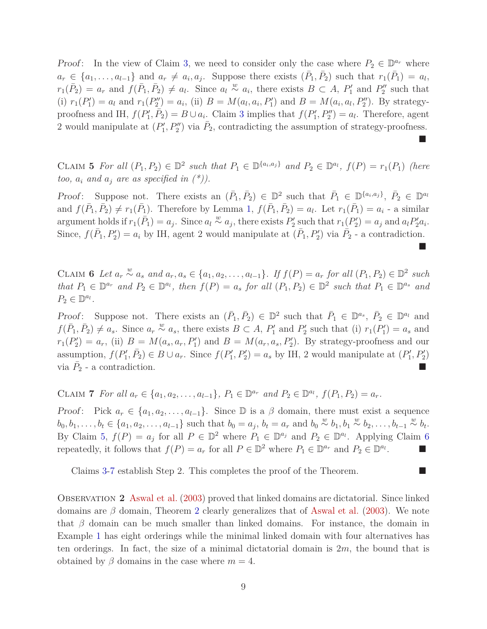*Proof*: In the view of Claim 3, we need to consider only the case where  $P_2 \in \mathbb{D}^{a_r}$  where  $a_r \in \{a_1, \ldots, a_{l-1}\}\$ and  $a_r \neq a_i, a_j$ . Suppose there exists  $(\bar{P}_1, \bar{P}_2)$  such that  $r_1(\bar{P}_1) = a_l$ ,  $r_1(\bar{P}_2) = a_r$  and  $f(\bar{P}_1, \bar{P}_2) \neq a_l$ . Since  $a_l \overset{w}{\sim} a_i$ , there exists  $B \subset A$ ,  $P'_1$  and  $P''_2$  such that (i)  $r_1(P'_1) = a_l$  and  $r_1(P''_2) = a_i$ , (ii)  $B = M(a_l, a_i, P'_1)$  and  $B = M(a_i, a_l, P''_2)$ . By strategyproofness and IH,  $f(P'_1, \overline{P}_2) = B \cup a_i$ . Claim 3 implies that  $f(P'_1, P''_2) = a_i$ . Therefore, agent 2 would manipulate at  $(P'_1, P''_2)$  via  $\bar{P}_2$ , contradicting the assumption of strategy-proofness. Ō

CLAIM 5 For all  $(P_1, P_2) \in \mathbb{D}^2$  such that  $P_1 \in \mathbb{D}^{\{a_i, a_j\}}$  and  $P_2 \in \mathbb{D}^{a_l}$ ,  $f(P) = r_1(P_1)$  (here *too,*  $a_i$  *and*  $a_j$  *are as specified in*  $(*)$ ).

Proof: Suppose not. There exists an  $(\bar{P}_1, \bar{P}_2) \in \mathbb{D}^2$  such that  $\bar{P}_1 \in \mathbb{D}^{\{a_i, a_j\}}$ ,  $\bar{P}_2 \in \mathbb{D}^{a_l}$ and  $f(\bar{P}_1, \bar{P}_2) \neq r_1(\bar{P}_1)$ . Therefore by Lemma 1,  $f(\bar{P}_1, \bar{P}_2) = a_l$ . Let  $r_1(\bar{P}_1) = a_i$  - a similar argument holds if  $r_1(\bar{P}_1) = a_j$ . Since  $a_l \stackrel{w}{\sim} a_j$ , there exists  $P'_2$  such that  $r_1(P'_2) = a_j$  and  $a_l P'_2 a_i$ . Since,  $f(\bar{P}_1, P'_2) = a_i$  by IH, agent 2 would manipulate at  $(\bar{P}_1, P'_2)$  via  $\bar{P}_2$  - a contradiction.

▉

CLAIM 6 Let  $a_r \stackrel{w}{\sim} a_s$  and  $a_r, a_s \in \{a_1, a_2, \ldots, a_{l-1}\}$ . If  $f(P) = a_r$  for all  $(P_1, P_2) \in \mathbb{D}^2$  such that  $P_1 \in \mathbb{D}^{a_r}$  and  $P_2 \in \mathbb{D}^{a_l}$ , then  $f(P) = a_s$  for all  $(P_1, P_2) \in \mathbb{D}^2$  such that  $P_1 \in \mathbb{D}^{a_s}$  and  $P_2 \in \mathbb{D}^{a_l}$ .

*Proof*: Suppose not. There exists an  $(\bar{P}_1, \bar{P}_2) \in \mathbb{D}^2$  such that  $\bar{P}_1 \in \mathbb{D}^{a_s}, \bar{P}_2 \in \mathbb{D}^{a_l}$  and  $f(\bar{P}_1, \bar{P}_2) \neq a_s$ . Since  $a_r \stackrel{w}{\sim} a_s$ , there exists  $B \subset A$ ,  $P'_1$  and  $P'_2$  such that (i)  $r_1(P'_1) = a_s$  and  $r_1(P'_2) = a_r$ , (ii)  $B = M(a_s, a_r, P'_1)$  and  $B = M(a_r, a_s, P'_2)$ . By strategy-proofness and our assumption,  $f(P'_1, \overline{P}_2) \in B \cup a_r$ . Since  $f(P'_1, P'_2) = a_s$  by IH, 2 would manipulate at  $(P'_1, P'_2)$ via  $\bar{P}_2$  - a contradiction.

CLAIM 7 For all  $a_r \in \{a_1, a_2, ..., a_{l-1}\}, P_1 \in \mathbb{D}^{a_r}$  and  $P_2 \in \mathbb{D}^{a_l}$ ,  $f(P_1, P_2) = a_r$ .

Proof: Pick  $a_r \in \{a_1, a_2, \ldots, a_{l-1}\}$ . Since  $\mathbb D$  is a  $\beta$  domain, there must exist a sequence  $b_0, b_1, \ldots, b_t \in \{a_1, a_2, \ldots, a_{l-1}\}\$  such that  $b_0 = a_j, b_t = a_r$  and  $b_0 \stackrel{w}{\sim} b_1, b_1 \stackrel{w}{\sim} b_2, \ldots, b_{t-1} \stackrel{w}{\sim} b_t$ . By Claim 5,  $f(P) = a_j$  for all  $P \in \mathbb{D}^2$  where  $P_1 \in \mathbb{D}^{a_j}$  and  $P_2 \in \mathbb{D}^{a_l}$ . Applying Claim 6 repeatedly, it follows that  $f(P) = a_r$  for all  $P \in \mathbb{D}^2$  where  $P_1 \in \mathbb{D}^{a_r}$  and  $P_2 \in \mathbb{D}^{a_l}$ .

Claims 3-7 establish Step 2. This completes the proof of the Theorem.

Observation **2** Aswal et al. (2003) proved that linked domains are dictatorial. Since linked domains are *β* domain, Theorem 2 clearly generalizes that of Aswal et al. (2003). We note that  $\beta$  domain can be much smaller than linked domains. For instance, the domain in Example 1 has eight orderings while the minimal linked domain with four alternatives has ten orderings. In fact, the size of a minimal dictatorial domain is 2*m*, the bound that is obtained by  $\beta$  domains in the case where  $m = 4$ .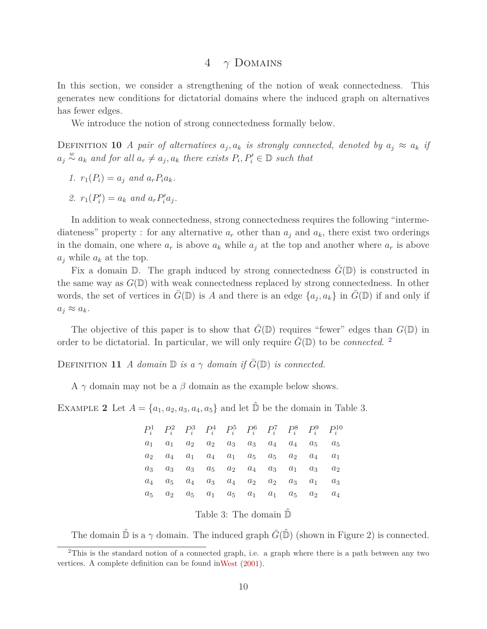### 4 *γ* Domains

In this section, we consider a strengthening of the notion of weak connectedness. This generates new conditions for dictatorial domains where the induced graph on alternatives has fewer edges.

We introduce the notion of strong connectedness formally below.

DEFINITION 10 *A* pair of alternatives  $a_j$ ,  $a_k$  is strongly connected, denoted by  $a_j \approx a_k$  if  $a_j \overset{w}{\sim} a_k$  *and for all*  $a_r \neq a_j$ ,  $a_k$  there exists  $P_i, P'_i \in \mathbb{D}$  such that

- *1.*  $r_1(P_i) = a_i$  *and*  $a_r P_i a_k$ *.*
- 2.  $r_1(P'_i) = a_k$  *and*  $a_r P'_i a_j$ .

In addition to weak connectedness, strong connectedness requires the following "intermediateness" property : for any alternative  $a_r$  other than  $a_j$  and  $a_k$ , there exist two orderings in the domain, one where  $a_r$  is above  $a_k$  while  $a_j$  at the top and another where  $a_r$  is above  $a_i$  while  $a_k$  at the top.

Fix a domain  $\mathbb{D}$ . The graph induced by strong connectedness  $G(\mathbb{D})$  is constructed in the same way as  $G(\mathbb{D})$  with weak connectedness replaced by strong connectedness. In other words, the set of vertices in  $\bar{G}(\mathbb{D})$  is *A* and there is an edge  $\{a_j, a_k\}$  in  $\bar{G}(\mathbb{D})$  if and only if  $a_j \approx a_k$ .

The objective of this paper is to show that  $\bar{G}(\mathbb{D})$  requires "fewer" edges than  $G(\mathbb{D})$  in order to be dictatorial. In particular, we will only require  $\bar{G}(\mathbb{D})$  to be *connected*. <sup>2</sup>

DEFINITION 11 *A domain*  $\mathbb{D}$  *is a*  $\gamma$  *domain if*  $G(\mathbb{D})$  *is connected.* 

A *γ* domain may not be a *β* domain as the example below shows.

EXAMPLE 2 Let  $A = \{a_1, a_2, a_3, a_4, a_5\}$  and let  $\hat{\mathbb{D}}$  be the domain in Table 3.

|       |       | $P_i^1$ $P_i^2$ $P_i^3$ $P_i^4$ $P_i^5$ $P_i^6$ $P_i^7$ $P_i^8$ $P_i^9$ $P_i^{10}$ |                           |                                               |       |       |       |                  |
|-------|-------|------------------------------------------------------------------------------------|---------------------------|-----------------------------------------------|-------|-------|-------|------------------|
| $a_1$ | $a_1$ |                                                                                    |                           | $a_2 \quad a_2 \quad a_3 \quad a_3 \quad a_4$ |       | $a_4$ | $a_5$ | $a_5$            |
| $a_2$ |       | $a_4$ $a_1$ $a_4$ $a_1$ $a_5$ $a_5$                                                |                           |                                               |       | $a_2$ |       | $a_4 \qquad a_1$ |
| $a_3$ |       | $a_3 \quad a_3 \quad a_5 \quad a_2 \quad a_4 \quad a_3$                            |                           |                                               |       | $a_1$ | $a_3$ | a <sub>2</sub>   |
| $a_4$ | $a_5$ |                                                                                    | $a_4 \quad a_3 \quad a_4$ | $a_2$                                         | $a_2$ | $a_3$ | $a_1$ | $a_3$            |
| $a_5$ | $a_2$ |                                                                                    |                           | $a_5 \quad a_1 \quad a_5 \quad a_1 \quad a_1$ |       | $a_5$ | $a_2$ | $a_4$            |

Table 3: The domain  $\hat{\mathbb{D}}$ 

The domain  $\hat{\mathbb{D}}$  is a  $\gamma$  domain. The induced graph  $\bar{G}(\hat{\mathbb{D}})$  (shown in Figure 2) is connected.

<sup>&</sup>lt;sup>2</sup>This is the standard notion of a connected graph, i.e. a graph where there is a path between any two vertices. A complete definition can be found inWest (2001).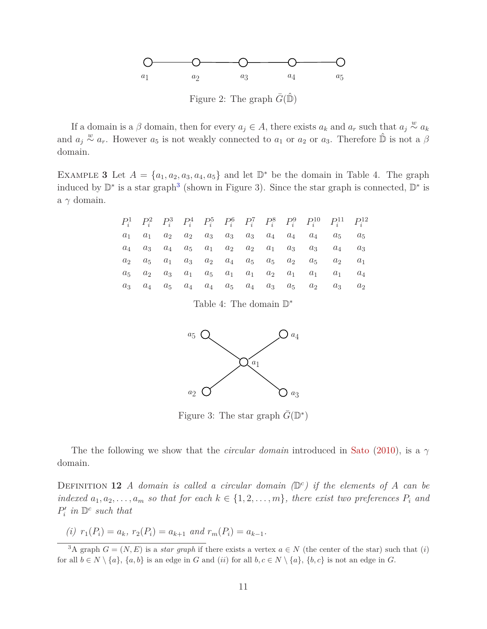

Figure 2: The graph  $\overline{G}(\mathbb{D})$ 

If a domain is a  $\beta$  domain, then for every  $a_j \in A$ , there exists  $a_k$  and  $a_r$  such that  $a_j \stackrel{w}{\sim} a_k$ and  $a_j \overset{w}{\sim} a_r$ . However  $a_5$  is not weakly connected to  $a_1$  or  $a_2$  or  $a_3$ . Therefore  $\hat{\mathbb{D}}$  is not a  $\beta$ domain.

EXAMPLE 3 Let  $A = \{a_1, a_2, a_3, a_4, a_5\}$  and let  $\mathbb{D}^*$  be the domain in Table 4. The graph induced by  $\mathbb{D}^*$  is a star graph<sup>3</sup> (shown in Figure 3). Since the star graph is connected,  $\mathbb{D}^*$  is a *γ* domain.

|                |       |       |                                     |                 |                                               |       |       |                                               | $P_i^1$ $P_i^2$ $P_i^3$ $P_i^4$ $P_i^5$ $P_i^6$ $P_i^7$ $P_i^8$ $P_i^9$ $P_i^{10}$ $P_i^{11}$ $P_i^{12}$ |       |
|----------------|-------|-------|-------------------------------------|-----------------|-----------------------------------------------|-------|-------|-----------------------------------------------|----------------------------------------------------------------------------------------------------------|-------|
| $a_1$          | $a_1$ | $a_2$ |                                     | $a_2 \quad a_3$ | $a_3 \quad a_3$                               | $a_4$ | $a_4$ | $a_4$                                         | $a_5$                                                                                                    | $a_5$ |
| $a_4$          |       |       | $a_3 \quad a_4 \quad a_5 \quad a_1$ |                 |                                               |       |       | $a_2 \quad a_2 \quad a_1 \quad a_3 \quad a_3$ | $a_4$                                                                                                    | $a_3$ |
| a <sub>2</sub> | $a_5$ |       | $a_1$ $a_3$ $a_2$                   |                 | $a_4$ $a_5$ $a_5$                             |       |       | $a_2 \quad a_5$                               | $a_2$                                                                                                    | $a_1$ |
| $a_{5}$        | $a_2$ |       |                                     |                 | $a_3 \quad a_1 \quad a_5 \quad a_1 \quad a_1$ | $a_2$ | $a_1$ | $a_1$                                         | $a_1$                                                                                                    | $a_4$ |
| $a_3$          | $a_4$ |       | $a_5 \quad a_4 \quad a_4$           |                 | $a_5 \quad a_4$                               | $a_3$ | $a_5$ | $a_2$                                         | $a_3$                                                                                                    | $a_2$ |

Table 4: The domain  $\mathbb{D}^*$ 



Figure 3: The star graph  $\bar{G}(\mathbb{D}^*)$ 

The the following we show that the *circular domain* introduced in Sato (2010), is a *γ* domain.

DEFINITION 12 *A* domain is called a circular domain  $(\mathbb{D}^c)$  if the elements of *A* can be *indexed*  $a_1, a_2, \ldots, a_m$  *so that for each*  $k \in \{1, 2, \ldots, m\}$ *, there exist two preferences*  $P_i$  *and*  $P'_i$  *in*  $\mathbb{D}^c$  *such that* 

(i) 
$$
r_1(P_i) = a_k
$$
,  $r_2(P_i) = a_{k+1}$  and  $r_m(P_i) = a_{k-1}$ .

<sup>&</sup>lt;sup>3</sup>A graph  $G = (N, E)$  is a *star graph* if there exists a vertex  $a \in N$  (the center of the star) such that (*i*) for all  $b \in N \setminus \{a\}$ ,  $\{a, b\}$  is an edge in *G* and (*ii*) for all  $b, c \in N \setminus \{a\}$ ,  $\{b, c\}$  is not an edge in *G*.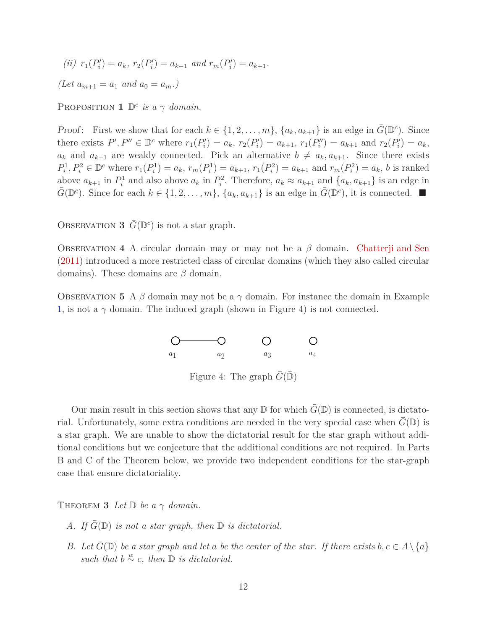$(iii)$   $r_1(P'_i) = a_k$ ,  $r_2(P'_i) = a_{k-1}$  and  $r_m(P'_i) = a_{k+1}$ .

 $(Let a_{m+1} = a_1 \text{ and } a_0 = a_m.)$ 

PROPOSITION **1**  $\mathbb{D}^c$  *is a*  $\gamma$  *domain.* 

*Proof*: First we show that for each  $k \in \{1, 2, \ldots, m\}$ ,  $\{a_k, a_{k+1}\}$  is an edge in  $\bar{G}(\mathbb{D}^c)$ . Since there exists  $P', P'' \in \mathbb{D}^c$  where  $r_1(P'_i) = a_k$ ,  $r_2(P'_i) = a_{k+1}$ ,  $r_1(P''_i) = a_{k+1}$  and  $r_2(P'_i) = a_k$ ,  $a_k$  and  $a_{k+1}$  are weakly connected. Pick an alternative  $b \neq a_k, a_{k+1}$ . Since there exists  $P_i^1, P_i^2 \in \mathbb{D}^c$  where  $r_1(P_i^1) = a_k, r_m(P_i^1) = a_{k+1}, r_1(P_i^2) = a_{k+1}$  and  $r_m(P_i^2) = a_k$ , b is ranked above  $a_{k+1}$  in  $P_i^1$  and also above  $a_k$  in  $P_i^2$ . Therefore,  $a_k \approx a_{k+1}$  and  $\{a_k, a_{k+1}\}$  is an edge in  $\bar{G}(\mathbb{D}^c)$ . Since for each  $k \in \{1, 2, ..., m\}$ ,  $\{a_k, a_{k+1}\}$  is an edge in  $\bar{G}(\mathbb{D}^c)$ , it is connected.

OBSERVATION **3**  $\bar{G}(\mathbb{D}^c)$  is not a star graph.

Observation **4** A circular domain may or may not be a *β* domain. Chatterji and Sen (2011) introduced a more restricted class of circular domains (which they also called circular domains). These domains are *β* domain.

OBSERVATION 5 A  $\beta$  domain may not be a  $\gamma$  domain. For instance the domain in Example 1, is not a  $\gamma$  domain. The induced graph (shown in Figure 4) is not connected.



Figure 4: The graph  $\overline{G(\mathbb{D})}$ 

Our main result in this section shows that any  $\mathbb D$  for which  $G(\mathbb D)$  is connected, is dictatorial. Unfortunately, some extra conditions are needed in the very special case when  $G(\mathbb{D})$  is a star graph. We are unable to show the dictatorial result for the star graph without additional conditions but we conjecture that the additional conditions are not required. In Parts B and C of the Theorem below, we provide two independent conditions for the star-graph case that ensure dictatoriality.

THEOREM **3** *Let*  $\mathbb{D}$  *be a*  $\gamma$  *domain.* 

- *A. If*  $G(\mathbb{D})$  *is not a star graph, then*  $\mathbb{D}$  *is dictatorial.*
- *B.* Let  $\bar{G}(\mathbb{D})$  be a star graph and let a be the center of the star. If there exists  $b, c \in A \setminus \{a\}$ *such that*  $b \stackrel{w}{\sim} c$ *, then*  $\mathbb{D}$  *is dictatorial.*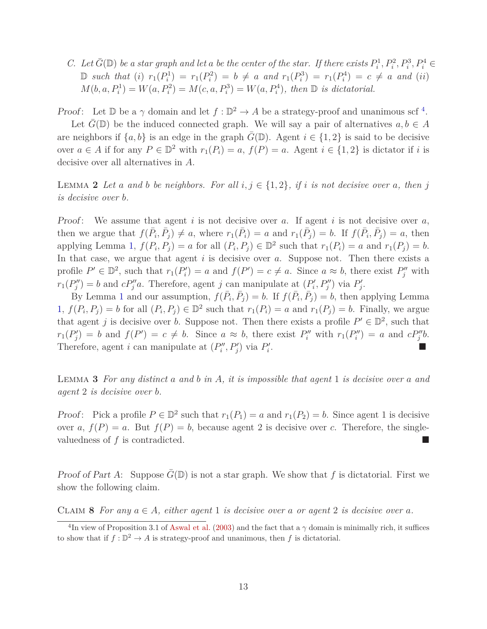*C.* Let  $\bar{G}(\mathbb{D})$  be a star graph and let a be the center of the star. If there exists  $P_i^1, P_i^2, P_i^3, P_i^4 \in$ D such that (i)  $r_1(P_i^1) = r_1(P_i^2) = b \neq a$  and  $r_1(P_i^3) = r_1(P_i^4) = c \neq a$  and (ii)  $M(b, a, P_i^1) = W(a, P_i^2) = M(c, a, P_i^3) = W(a, P_i^4)$ , then  $\mathbb{D}$  *is dictatorial.* 

*Proof*: Let  $\mathbb{D}$  be a  $\gamma$  domain and let  $f : \mathbb{D}^2 \to A$  be a strategy-proof and unanimous scf<sup>4</sup>.

Let  $G(\mathbb{D})$  be the induced connected graph. We will say a pair of alternatives  $a, b \in A$ are neighbors if  $\{a, b\}$  is an edge in the graph  $G(\mathbb{D})$ . Agent  $i \in \{1, 2\}$  is said to be decisive over  $a \in A$  if for any  $P \in \mathbb{D}^2$  with  $r_1(P_i) = a$ ,  $f(P) = a$ . Agent  $i \in \{1, 2\}$  is dictator if *i* is decisive over all alternatives in *A*.

LEMMA 2 Let a and b be neighbors. For all  $i, j \in \{1, 2\}$ , if i is not decisive over a, then j *is decisive over b.*

Proof: We assume that agent *i* is not decisive over *a*. If agent *i* is not decisive over *a*, then we argue that  $f(\bar{P}_i, \bar{P}_j) \neq a$ , where  $r_1(\bar{P}_i) = a$  and  $r_1(\bar{P}_j) = b$ . If  $f(\bar{P}_i, \bar{P}_j) = a$ , then applying Lemma 1,  $f(P_i, P_j) = a$  for all  $(P_i, P_j) \in \mathbb{D}^2$  such that  $r_1(P_i) = a$  and  $r_1(P_j) = b$ . In that case, we argue that agent *i* is decisive over *a*. Suppose not. Then there exists a profile  $P' \in \mathbb{D}^2$ , such that  $r_1(P'_i) = a$  and  $f(P') = c \neq a$ . Since  $a \approx b$ , there exist  $P''_j$  with  $r_1(P''_j) = b$  and  $cP''_j a$ . Therefore, agent *j* can manipulate at  $(P'_i, P''_j)$  via  $P'_j$ .

By Lemma 1 and our assumption,  $f(\bar{P}_i, \bar{P}_j) = b$ . If  $f(\bar{P}_i, \bar{P}_j) = b$ , then applying Lemma 1,  $f(P_i, P_j) = b$  for all  $(P_i, P_j) \in \mathbb{D}^2$  such that  $r_1(P_i) = a$  and  $r_1(P_j) = b$ . Finally, we argue that agent *j* is decisive over *b*. Suppose not. Then there exists a profile  $P' \in \mathbb{D}^2$ , such that  $r_1(P'_j) = b$  and  $f(P') = c \neq b$ . Since  $a \approx b$ , there exist  $P''_i$  with  $r_1(P''_i) = a$  and  $cP''_j b$ . Therefore, agent *i* can manipulate at  $(P''_i, P'_j)$  via  $P'_i$ .

Lemma **3** *For any distinct a and b in A, it is impossible that agent* 1 *is decisive over a and agent* 2 *is decisive over b.*

*Proof*: Pick a profile  $P \in \mathbb{D}^2$  such that  $r_1(P_1) = a$  and  $r_1(P_2) = b$ . Since agent 1 is decisive over *a*,  $f(P) = a$ . But  $f(P) = b$ , because agent 2 is decisive over *c*. Therefore, the singlevaluedness of *f* is contradicted.

Proof of Part A: Suppose  $G(\mathbb{D})$  is not a star graph. We show that f is dictatorial. First we show the following claim.

CLAIM 8 For any  $a \in A$ , either agent 1 is decisive over a or agent 2 is decisive over a.

<sup>&</sup>lt;sup>4</sup>In view of Proposition 3.1 of Aswal et al. (2003) and the fact that a  $\gamma$  domain is minimally rich, it suffices to show that if  $f: \mathbb{D}^2 \to A$  is strategy-proof and unanimous, then f is dictatorial.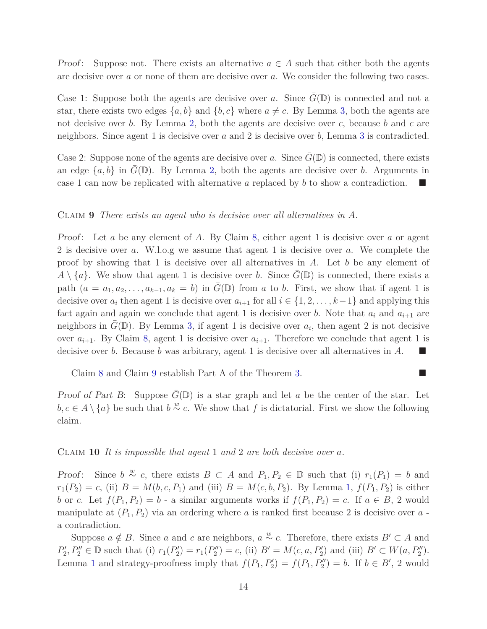*Proof:* Suppose not. There exists an alternative  $a \in A$  such that either both the agents are decisive over *a* or none of them are decisive over *a*. We consider the following two cases.

Case 1: Suppose both the agents are decisive over *a*. Since  $G(\mathbb{D})$  is connected and not a star, there exists two edges  $\{a, b\}$  and  $\{b, c\}$  where  $a \neq c$ . By Lemma 3, both the agents are not decisive over *b*. By Lemma 2, both the agents are decisive over *c*, because *b* and *c* are neighbors. Since agent 1 is decisive over *a* and 2 is decisive over *b*, Lemma 3 is contradicted.

Case 2: Suppose none of the agents are decisive over *a*. Since  $G(\mathbb{D})$  is connected, there exists an edge  $\{a, b\}$  in  $G(\mathbb{D})$ . By Lemma 2, both the agents are decisive over *b*. Arguments in case 1 can now be replicated with alternative *a* replaced by *b* to show a contradiction.

#### Claim **9** *There exists an agent who is decisive over all alternatives in A.*

Proof: Let *a* be any element of *A*. By Claim 8, either agent 1 is decisive over *a* or agent 2 is decisive over *a*. W.l.o.g we assume that agent 1 is decisive over *a*. We complete the proof by showing that 1 is decisive over all alternatives in *A*. Let *b* be any element of  $A \setminus \{a\}$ . We show that agent 1 is decisive over *b*. Since  $\overline{G}(\mathbb{D})$  is connected, there exists a path  $(a = a_1, a_2, \ldots, a_{k-1}, a_k = b)$  in  $G(\mathbb{D})$  from *a* to *b*. First, we show that if agent 1 is decisive over  $a_i$  then agent 1 is decisive over  $a_{i+1}$  for all  $i \in \{1, 2, \ldots, k-1\}$  and applying this fact again and again we conclude that agent 1 is decisive over *b*. Note that  $a_i$  and  $a_{i+1}$  are neighbors in  $\bar{G}(\mathbb{D})$ . By Lemma 3, if agent 1 is decisive over  $a_i$ , then agent 2 is not decisive over  $a_{i+1}$ . By Claim 8, agent 1 is decisive over  $a_{i+1}$ . Therefore we conclude that agent 1 is decisive over *b*. Because *b* was arbitrary, agent 1 is decisive over all alternatives in *A*.

Claim 8 and Claim 9 establish Part A of the Theorem 3.

Proof of Part B: Suppose  $G(\mathbb{D})$  is a star graph and let *a* be the center of the star. Let *b*, *c* ∈ *A* \ {*a*} be such that *b*<sup>∞</sup> *c*. We show that *f* is dictatorial. First we show the following claim.

#### Claim **10** *It is impossible that agent* 1 *and* 2 *are both decisive over a.*

*Proof:* Since  $b \stackrel{w}{\sim} c$ , there exists  $B \subset A$  and  $P_1, P_2 \in \mathbb{D}$  such that (i)  $r_1(P_1) = b$  and  $r_1(P_2) = c$ , (ii)  $B = M(b, c, P_1)$  and (iii)  $B = M(c, b, P_2)$ . By Lemma 1,  $f(P_1, P_2)$  is either *b* or *c*. Let  $f(P_1, P_2) = b$  - a similar arguments works if  $f(P_1, P_2) = c$ . If  $a \in B$ , 2 would manipulate at  $(P_1, P_2)$  via an ordering where *a* is ranked first because 2 is decisive over *a* a contradiction.

Suppose  $a \notin B$ . Since *a* and *c* are neighbors,  $a \stackrel{w}{\sim} c$ . Therefore, there exists  $B' \subset A$  and  $P'_2, P''_2 \in \mathbb{D}$  such that (i)  $r_1(P'_2) = r_1(P''_2) = c$ , (ii)  $B' = M(c, a, P'_2)$  and (iii)  $B' \subset W(a, P''_2)$ . Lemma 1 and strategy-proofness imply that  $f(P_1, P_2') = f(P_1, P_2'') = b$ . If  $b \in B'$ , 2 would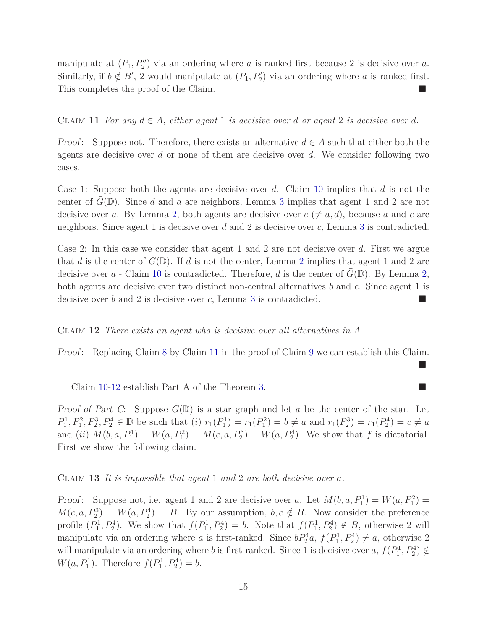manipulate at  $(P_1, P_2'')$  via an ordering where *a* is ranked first because 2 is decisive over *a*. Similarly, if  $b \notin B'$ , 2 would manipulate at  $(P_1, P'_2)$  via an ordering where *a* is ranked first. This completes the proof of the Claim.

#### CLAIM 11 For any  $d \in A$ , either agent 1 is decisive over *d* or agent 2 is decisive over *d*.

*Proof*: Suppose not. Therefore, there exists an alternative  $d \in A$  such that either both the agents are decisive over *d* or none of them are decisive over *d*. We consider following two cases.

Case 1: Suppose both the agents are decisive over *d*. Claim 10 implies that *d* is not the center of  $G(\mathbb{D})$ . Since *d* and *a* are neighbors, Lemma 3 implies that agent 1 and 2 are not decisive over *a*. By Lemma 2, both agents are decisive over  $c \neq a, d$ , because *a* and *c* are neighbors. Since agent 1 is decisive over *d* and 2 is decisive over *c*, Lemma 3 is contradicted.

Case 2: In this case we consider that agent 1 and 2 are not decisive over *d*. First we argue that *d* is the center of  $G(\mathbb{D})$ . If *d* is not the center, Lemma 2 implies that agent 1 and 2 are decisive over  $a$  - Claim 10 is contradicted. Therefore,  $d$  is the center of  $G(\mathbb{D})$ . By Lemma 2, both agents are decisive over two distinct non-central alternatives *b* and *c*. Since agent 1 is decisive over *b* and 2 is decisive over *c*, Lemma 3 is contradicted.

#### Claim **12** *There exists an agent who is decisive over all alternatives in A.*

Proof: Replacing Claim 8 by Claim 11 in the proof of Claim 9 we can establish this Claim.

Ē

Claim 10-12 establish Part A of the Theorem 3.

Proof of Part C: Suppose  $G(\mathbb{D})$  is a star graph and let *a* be the center of the star. Let  $P_1^1, P_1^2, P_2^3, P_2^4 \in \mathbb{D}$  be such that  $(i)$   $r_1(P_1^1) = r_1(P_1^2) = b \neq a$  and  $r_1(P_2^3) = r_1(P_2^4) = c \neq a$ and (*ii*)  $M(b, a, P_1^1) = W(a, P_1^2) = M(c, a, P_2^3) = W(a, P_2^4)$ . We show that *f* is dictatorial. First we show the following claim.

#### Claim **13** *It is impossible that agent* 1 *and* 2 *are both decisive over a.*

Proof: Suppose not, i.e. agent 1 and 2 are decisive over *a*. Let  $M(b, a, P_1^1) = W(a, P_1^2)$  $M(c, a, P_2^3) = W(a, P_2^4) = B$ . By our assumption,  $b, c \notin B$ . Now consider the preference profile  $(P_1^1, P_2^4)$ . We show that  $f(P_1^1, P_2^4) = b$ . Note that  $f(P_1^1, P_2^4) \notin B$ , otherwise 2 will manipulate via an ordering where *a* is first-ranked. Since  $bP_2^4a$ ,  $f(P_1^1, P_2^4) \neq a$ , otherwise 2 will manipulate via an ordering where *b* is first-ranked. Since 1 is decisive over *a*,  $f(P_1^1, P_2^4) \notin$  $W(a, P_1^1)$ . Therefore  $f(P_1^1, P_2^4) = b$ .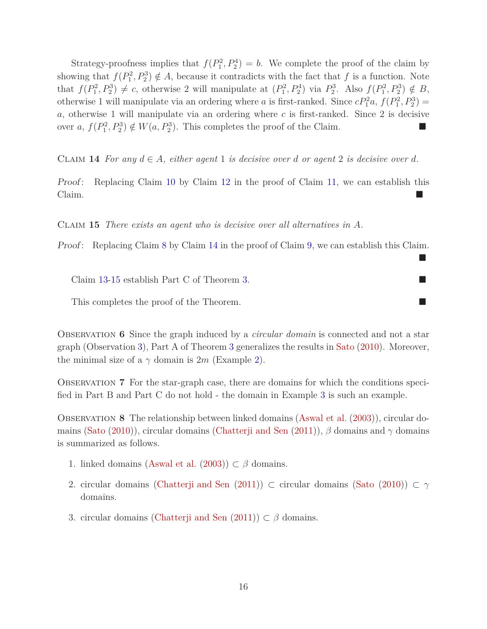Strategy-proofness implies that  $f(P_1^2, P_2^4) = b$ . We complete the proof of the claim by showing that  $f(P_1^2, P_2^3) \notin A$ , because it contradicts with the fact that *f* is a function. Note that  $f(P_1^2, P_2^3) \neq c$ , otherwise 2 will manipulate at  $(P_1^2, P_2^4)$  via  $P_2^3$ . Also  $f(P_1^2, P_2^3) \notin B$ , otherwise 1 will manipulate via an ordering where *a* is first-ranked. Since  $cP_1^2a$ ,  $f(P_1^2, P_2^3)$  = *a*, otherwise 1 will manipulate via an ordering where *c* is first-ranked. Since 2 is decisive over *a*,  $f(P_1^2, P_2^3) \notin W(a, P_2^3)$ . This completes the proof of the Claim.

CLAIM 14 For any  $d \in A$ , either agent 1 is decisive over *d* or agent 2 is decisive over *d*.

Proof: Replacing Claim 10 by Claim 12 in the proof of Claim 11, we can establish this Claim.

Claim **15** *There exists an agent who is decisive over all alternatives in A.*

Proof: Replacing Claim 8 by Claim 14 in the proof of Claim 9, we can establish this Claim.

 $\blacksquare$ 

Claim 13-15 establish Part C of Theorem 3.

This completes the proof of the Theorem.

Observation **6** Since the graph induced by a *circular domain* is connected and not a star graph (Observation 3), Part A of Theorem 3 generalizes the results in Sato (2010). Moreover, the minimal size of a  $\gamma$  domain is 2*m* (Example 2).

Observation **7** For the star-graph case, there are domains for which the conditions specified in Part B and Part C do not hold - the domain in Example 3 is such an example.

Observation **8** The relationship between linked domains (Aswal et al. (2003)), circular domains (Sato (2010)), circular domains (Chatterji and Sen (2011)), *β* domains and *γ* domains is summarized as follows.

- 1. linked domains (Aswal et al.  $(2003)$ )  $\subset \beta$  domains.
- 2. circular domains (Chatterji and Sen (2011)) ⊂ circular domains (Sato (2010)) ⊂  $\gamma$ domains.
- 3. circular domains (Chatterji and Sen  $(2011)$ )  $\subset \beta$  domains.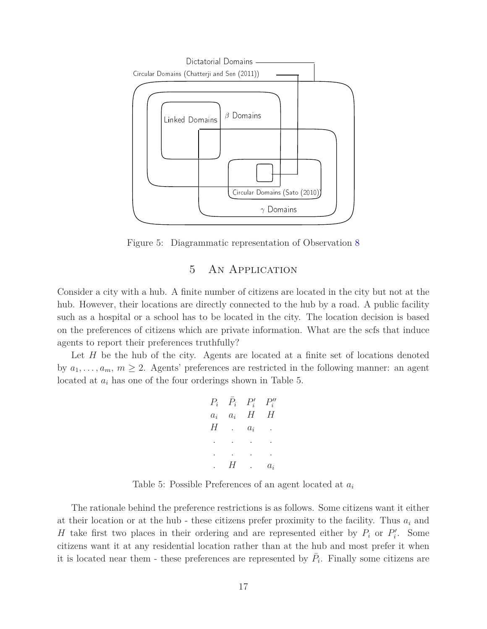

Figure 5: Diagrammatic representation of Observation 8

# 5 An Application

Consider a city with a hub. A finite number of citizens are located in the city but not at the hub. However, their locations are directly connected to the hub by a road. A public facility such as a hospital or a school has to be located in the city. The location decision is based on the preferences of citizens which are private information. What are the scfs that induce agents to report their preferences truthfully?

Let *H* be the hub of the city. Agents are located at a finite set of locations denoted by  $a_1, \ldots, a_m, m \geq 2$ . Agents' preferences are restricted in the following manner: an agent located at *a<sup>i</sup>* has one of the four orderings shown in Table 5.

$$
P_i \quad \bar{P}_i \quad P'_i \quad P''_i
$$
\n
$$
a_i \quad a_i \quad H \quad H
$$
\n
$$
H \quad \dots \quad a_i
$$
\n
$$
\vdots \quad \vdots \quad \vdots \quad \vdots
$$
\n
$$
H \quad \dots \quad a_i
$$

Table 5: Possible Preferences of an agent located at *a<sup>i</sup>*

The rationale behind the preference restrictions is as follows. Some citizens want it either at their location or at the hub - these citizens prefer proximity to the facility. Thus *a<sup>i</sup>* and *H* take first two places in their ordering and are represented either by  $P_i$  or  $P'_i$ . Some citizens want it at any residential location rather than at the hub and most prefer it when it is located near them - these preferences are represented by  $\bar{P}_i$ . Finally some citizens are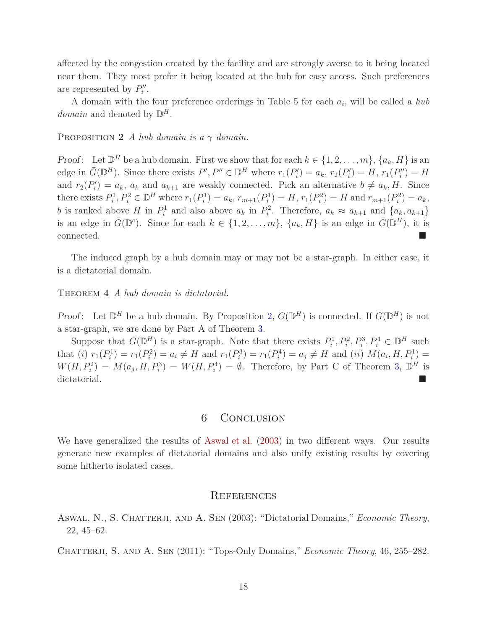affected by the congestion created by the facility and are strongly averse to it being located near them. They most prefer it being located at the hub for easy access. Such preferences are represented by  $P''_i$ .

A domain with the four preference orderings in Table 5 for each *a<sup>i</sup>* , will be called a *hub domain* and denoted by  $\mathbb{D}^H$ .

PROPOSITION 2 *A hub domain is a*  $\gamma$  *domain.* 

*Proof*: Let  $\mathbb{D}^H$  be a hub domain. First we show that for each  $k \in \{1, 2, ..., m\}$ ,  $\{a_k, H\}$  is an edge in  $\bar{G}(\mathbb{D}^H)$ . Since there exists  $P', P'' \in \mathbb{D}^H$  where  $r_1(P'_i) = a_k$ ,  $r_2(P'_i) = H$ ,  $r_1(P''_i) = H$ and  $r_2(P'_i) = a_k$ ,  $a_k$  and  $a_{k+1}$  are weakly connected. Pick an alternative  $b \neq a_k$ , *H*. Since there exists  $P_i^1, P_i^2 \in \mathbb{D}^H$  where  $r_1(P_i^1) = a_k, r_{m+1}(P_i^1) = H, r_1(P_i^2) = H$  and  $r_{m+1}(P_i^2) = a_k$ , *b* is ranked above *H* in  $P_i^1$  and also above  $a_k$  in  $P_i^2$ . Therefore,  $a_k \approx a_{k+1}$  and  $\{a_k, a_{k+1}\}\$ is an edge in  $\bar{G}(\mathbb{D}^c)$ . Since for each  $k \in \{1, 2, ..., m\}$ ,  $\{a_k, H\}$  is an edge in  $\bar{G}(\mathbb{D}^H)$ , it is connected.

The induced graph by a hub domain may or may not be a star-graph. In either case, it is a dictatorial domain.

Theorem **4** *A hub domain is dictatorial.*

*Proof*: Let  $\mathbb{D}^H$  be a hub domain. By Proposition 2,  $\bar{G}(\mathbb{D}^H)$  is connected. If  $\bar{G}(\mathbb{D}^H)$  is not a star-graph, we are done by Part A of Theorem 3.

Suppose that  $\bar{G}(\mathbb{D}^H)$  is a star-graph. Note that there exists  $P_i^1, P_i^2, P_i^3, P_i^4 \in \mathbb{D}^H$  such that (*i*)  $r_1(P_i^1) = r_1(P_i^2) = a_i \neq H$  and  $r_1(P_i^3) = r_1(P_i^4) = a_j \neq H$  and (*ii*)  $M(a_i, H, P_i^1) =$  $W(H, P_i^2) = M(a_j, H, P_i^3) = W(H, P_i^4) = \emptyset$ . Therefore, by Part C of Theorem 3,  $\mathbb{D}^H$  is dictatorial.

## 6 Conclusion

We have generalized the results of Aswal et al. (2003) in two different ways. Our results generate new examples of dictatorial domains and also unify existing results by covering some hitherto isolated cases.

#### **REFERENCES**

Aswal, N., S. Chatterji, and A. Sen (2003): "Dictatorial Domains," *Economic Theory*, 22, 45–62.

Chatterji, S. and A. Sen (2011): "Tops-Only Domains," *Economic Theory*, 46, 255–282.